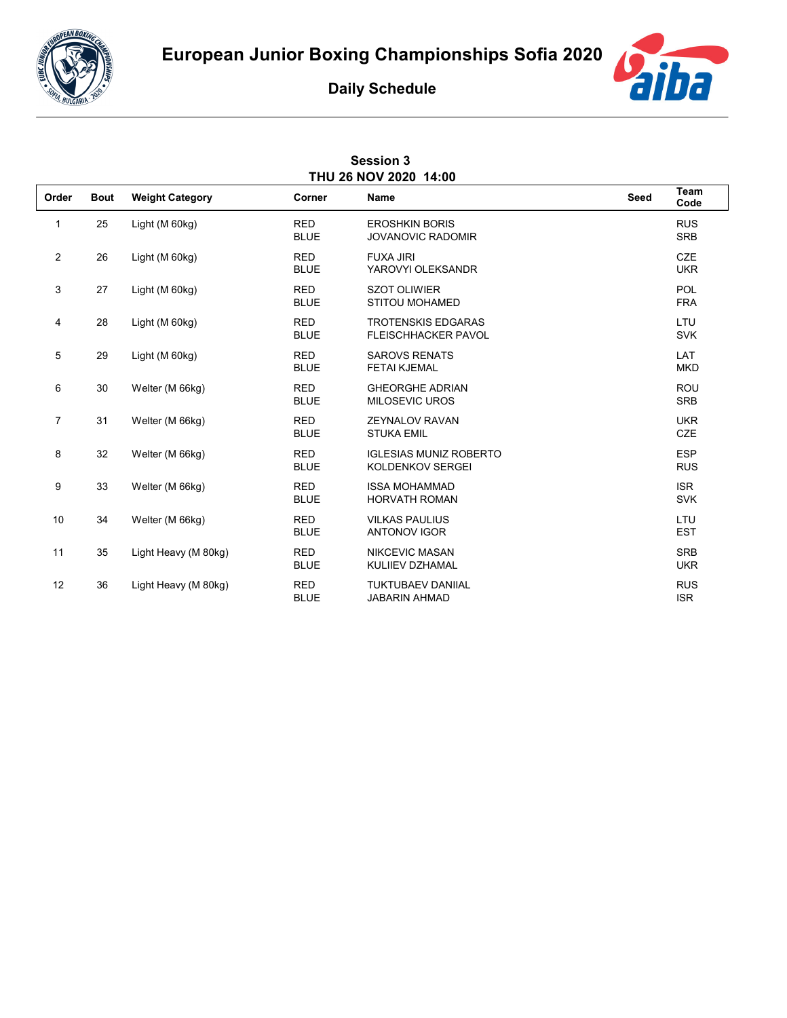



## **Daily Schedule**

| <b>Session 3</b><br>THU 26 NOV 2020 14:00 |             |                        |                           |                                                          |             |                          |  |  |  |  |
|-------------------------------------------|-------------|------------------------|---------------------------|----------------------------------------------------------|-------------|--------------------------|--|--|--|--|
| Order                                     | <b>Bout</b> | <b>Weight Category</b> | Corner                    | Name                                                     | <b>Seed</b> | Team<br>Code             |  |  |  |  |
| 1                                         | 25          | Light (M 60kg)         | <b>RED</b><br><b>BLUE</b> | <b>EROSHKIN BORIS</b><br><b>JOVANOVIC RADOMIR</b>        |             | <b>RUS</b><br><b>SRB</b> |  |  |  |  |
| $\overline{2}$                            | 26          | Light (M 60kg)         | <b>RED</b><br><b>BLUE</b> | <b>FUXA JIRI</b><br>YAROVYI OLEKSANDR                    |             | <b>CZE</b><br><b>UKR</b> |  |  |  |  |
| 3                                         | 27          | Light (M 60kg)         | <b>RED</b><br><b>BLUE</b> | <b>SZOT OLIWIER</b><br><b>STITOU MOHAMED</b>             |             | <b>POL</b><br><b>FRA</b> |  |  |  |  |
| 4                                         | 28          | Light (M 60kg)         | <b>RED</b><br><b>BLUE</b> | <b>TROTENSKIS EDGARAS</b><br><b>FLEISCHHACKER PAVOL</b>  |             | LTU<br><b>SVK</b>        |  |  |  |  |
| 5                                         | 29          | Light (M 60kg)         | <b>RED</b><br><b>BLUE</b> | <b>SAROVS RENATS</b><br><b>FETAI KJEMAL</b>              |             | LAT<br><b>MKD</b>        |  |  |  |  |
| 6                                         | 30          | Welter (M 66kg)        | <b>RED</b><br><b>BLUE</b> | <b>GHEORGHE ADRIAN</b><br><b>MILOSEVIC UROS</b>          |             | <b>ROU</b><br><b>SRB</b> |  |  |  |  |
| $\overline{7}$                            | 31          | Welter (M 66kg)        | <b>RED</b><br><b>BLUE</b> | <b>ZEYNALOV RAVAN</b><br><b>STUKA EMIL</b>               |             | <b>UKR</b><br>CZE        |  |  |  |  |
| 8                                         | 32          | Welter (M 66kg)        | <b>RED</b><br><b>BLUE</b> | <b>IGLESIAS MUNIZ ROBERTO</b><br><b>KOLDENKOV SERGEI</b> |             | <b>ESP</b><br><b>RUS</b> |  |  |  |  |
| 9                                         | 33          | Welter (M 66kg)        | <b>RED</b><br><b>BLUE</b> | <b>ISSA MOHAMMAD</b><br><b>HORVATH ROMAN</b>             |             | <b>ISR</b><br><b>SVK</b> |  |  |  |  |
| 10                                        | 34          | Welter (M 66kg)        | <b>RED</b><br><b>BLUE</b> | <b>VILKAS PAULIUS</b><br><b>ANTONOV IGOR</b>             |             | LTU<br><b>EST</b>        |  |  |  |  |
| 11                                        | 35          | Light Heavy (M 80kg)   | <b>RED</b><br><b>BLUE</b> | NIKCEVIC MASAN<br>KULIIEV DZHAMAL                        |             | <b>SRB</b><br><b>UKR</b> |  |  |  |  |
| 12                                        | 36          | Light Heavy (M 80kg)   | <b>RED</b><br><b>BLUE</b> | <b>TUKTUBAEV DANIIAL</b><br><b>JABARIN AHMAD</b>         |             | <b>RUS</b><br><b>ISR</b> |  |  |  |  |